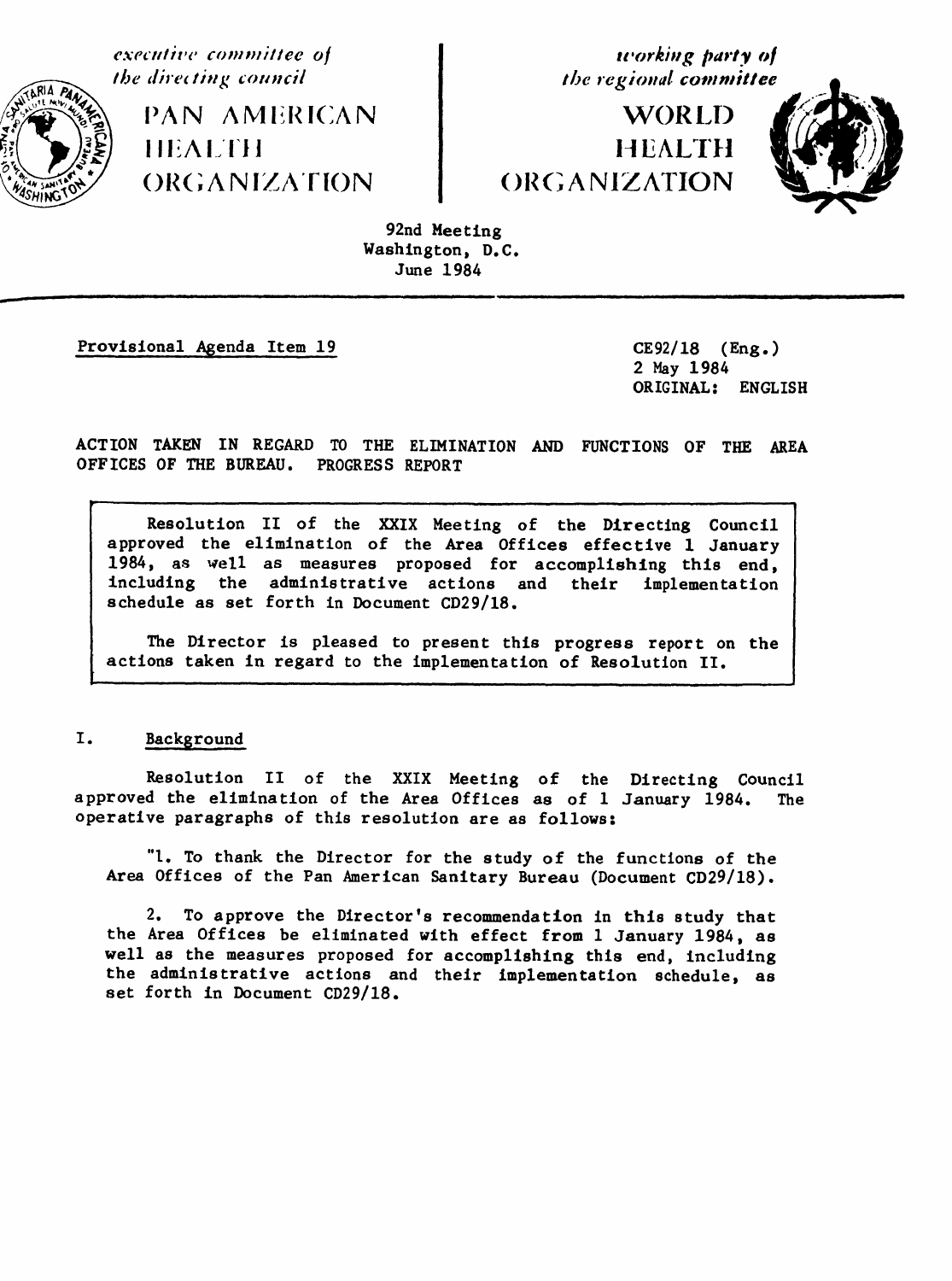

*W*\_

**executive committee o/ u**'**orki,g party ot**

**WORLD** . *I* il;A*l* '!*'l I* It EALT}t

iii I i i -- E- **7**-- - iii ]l ii iii i! iiiii I lJ . I \_ Jl ii ii III



92nd M*e*eti*n*g Washington, D.C. June 1984

Provisional A\_enda Item 19 CE92**/**18 (Eng.)

2 May 1984 ORIGINAL: ENGLISH

ACTION TAKEN IN REGARD TO THE ELIMINATION AND FUNCTIONS OF THE AREA OFFICES OF THE BUREAU. PROGRESS REPORT

Resolution II of the XXIX Meeting of the Direc**t**ing Council approved the elimination of the Area Offices effec**t**ive 1 January 1984, as well as measures proposed for accomplishing this end, including **t**he administrative actions and their implementation schedule as set forth in Document CD29**/**18.

The Director is pleased to present this progress report on the actions taken in regard to the implemen**t**ation of Resolution II.

# I. *Background*

Resolution II of the XXIX Meeting of the Directing Council approved the elimination of the Area Offices as of 1 January 1984. operative paragraphs of this resolution are as follows:

"l. To thank the Director for the study of the functions of the Area Offices of the Pan American Sanitary Bureau (Document CD29**/**18).

2. To approve the Director's recommendation in this study that the Area Offices be eliminated with effect from 1 January 1984, as well as the measures proposed for accomplishing this end, Including the administra**t**ive actions and their implementation schedule, as set forth in Document CD29**/**18.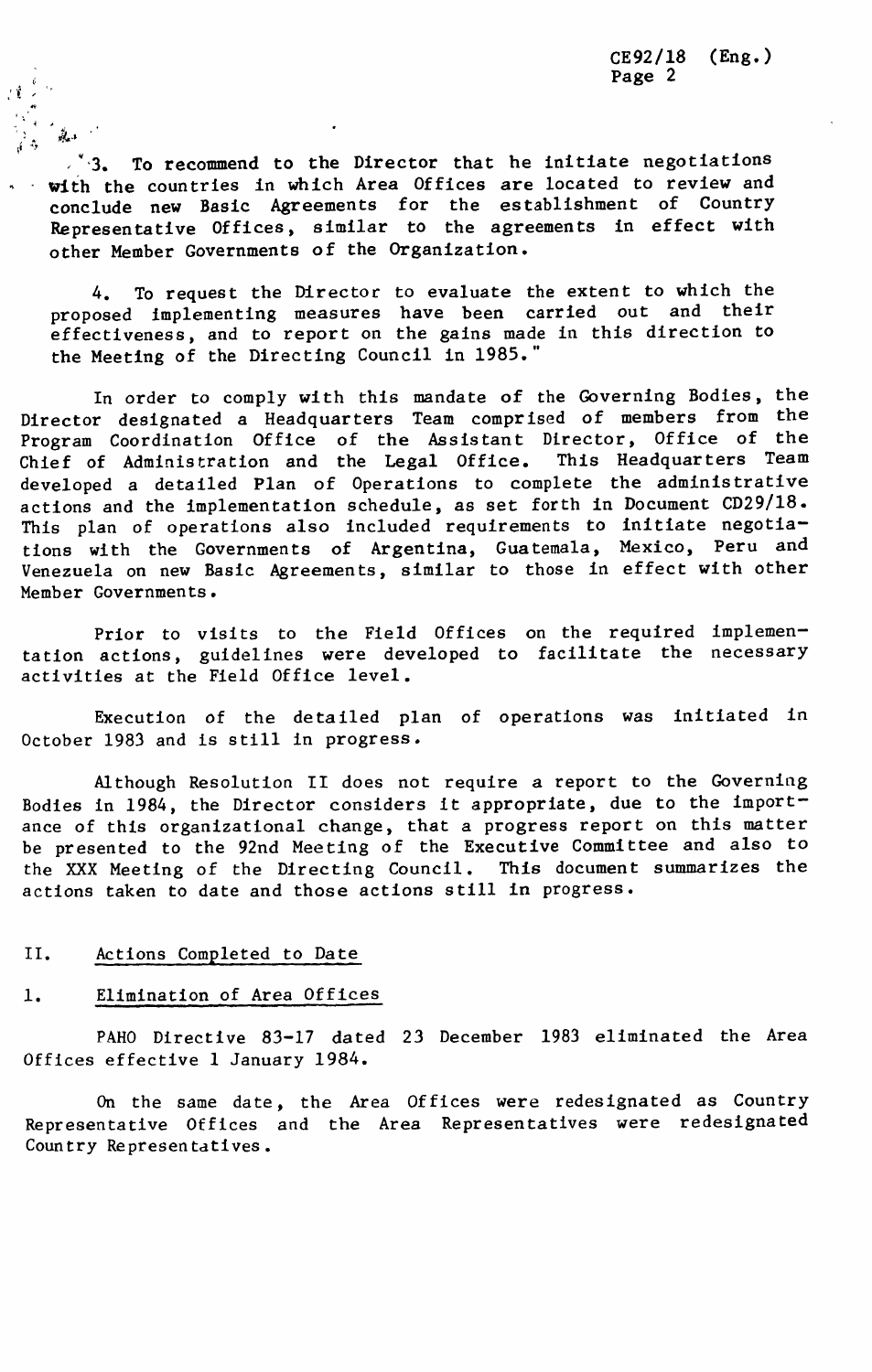$\sqrt{3}$ . To recommend to the Director that he initiate negotiations with the countries in which Area Offices are located to review and conclude new Basic Agreements for the establishment of Country Representative Offices, similar to the agreements in effect with other Member Governments of the Organization.

4. To request the Director to evaluate the extent to which the proposed implementing measures have been carried out and their effectiveness, and to report on the gains made in this direction to the Meeting of the Directing Council in 1985."

In order to comply with this mandate of the Governing Bodies, the Director designated a Headquarters Team comprised of members from the Program Coordination Office of the Assistant Director, Office of the<br>Chief of Administration and the Legal Office. This Headquarters Team Chief of Administration and the Legal Office. developed a detailed Plan of Operations to complete the administrative actions and the implementation schedule, as set forth in Document CD29**/**18. This plan of operations also included requirements to initiate negotiations with the Governments of Argentina, Guatemala, Mexico, Peru and Venezuela on new Basic Agreements, similar to those in effect with other Member Governments.

Prior to visits to the Field Offices on the required implementation actions, guidelines were developed to facilitate the necessary activities at the Field Office level.

Execution of the detailed plan of operations was initiated in October 1983 and is still in progress.

Although Resolution II does not require a report to the Governiag Bodies in 1984, the Director considers it appropriate, due to the importance of this organizational change, that a progress report on this matter be presented to the 92nd Meeting of the Executive Committee and also to the XXX Meeting of the Directing Council. This document summarizes the actions taken to date and those actions still in progress.

### II. Actions Completed to Date

#### 1. Elimination of Area Offices

PAHO Directive 83-17 dated 23 December 1983 eliminated the Area Offices effective 1 January 1984.

On the same date, the Area Offices were redesignated as Country Representative Offices and the Area Representatives were redesignated Country Representatives.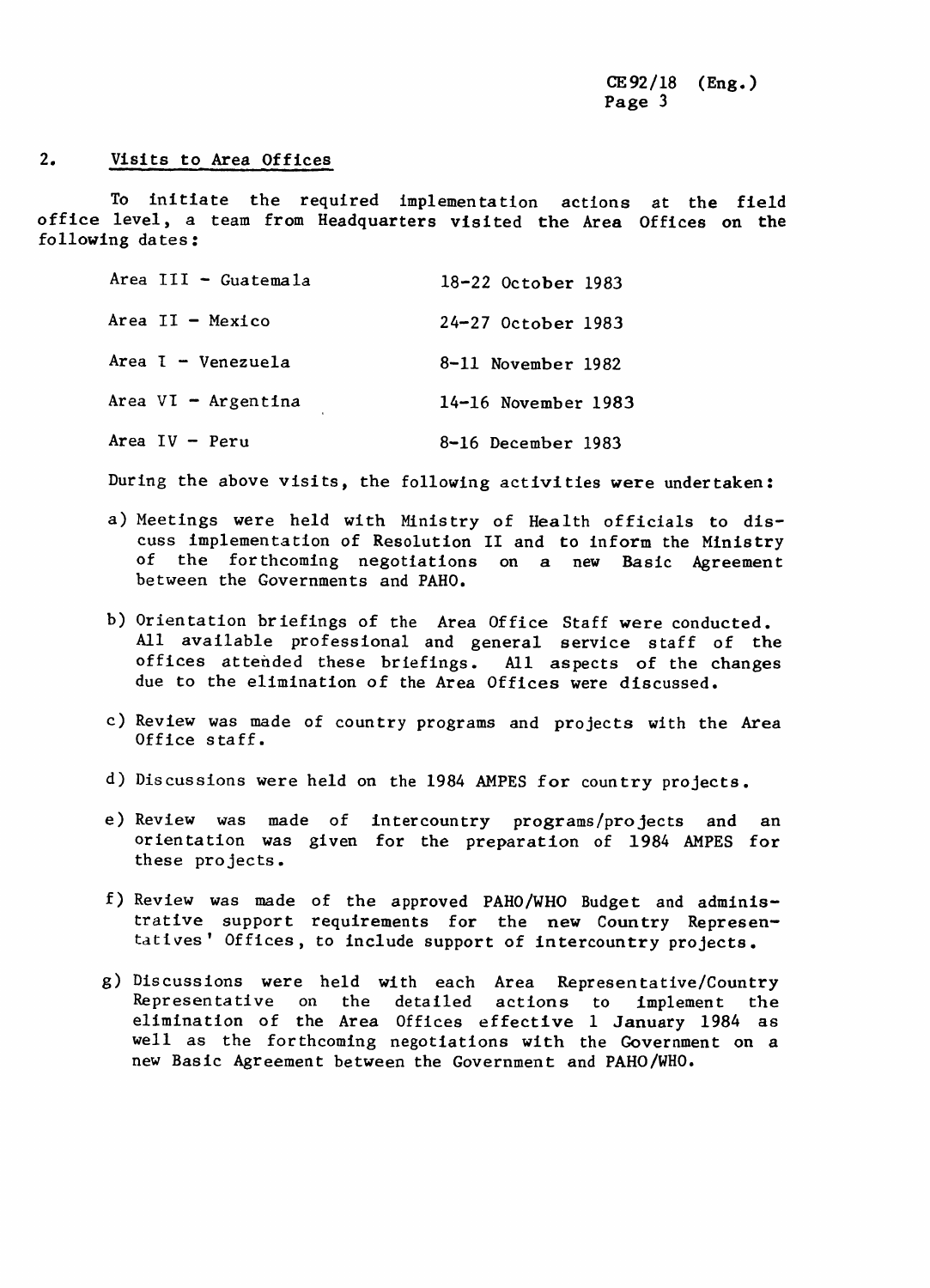# 2. Visi**t**s **t**o Area Offices

To ini**t**ia**t**e **t**he required implemen**t**a**t**ion ac**t**ions a**t t**he field office level, a **t**eam from Headq**u**ar**t**ers visi**t**ed **t**he Area Offices on **t**he following dates:

| Area III - Guatemala  | 18-22 October 1983    |
|-----------------------|-----------------------|
| Area $II -$ Mexico    | 24-27 October 1983    |
| Area I - Venezuela    | 8-11 November 1982    |
| Area $VI - Argentina$ | $14-16$ November 1983 |
| Area $IV - Peru$      | 8-16 December 1983    |

During the above visits, the following activities were undertaken:

- a) Meetings were held with Ministry of Health officials to discuss implementation of Resolution II and to inform the Ministry of the forthcoming negotiations on a new Basic Agreement between the Governments and PAHO.
- b) Orientation briefings of the Area Office Staff were conducted. Ail available professional and general service staff of the offices attended these briefings. Ail aspects of the changes due to the elimination of the Area Offices were discussed.
- c) Review was made of country programs and projects with the Area Office staff.
- d) Discussions were held on the 1984 AMPES for country projects.
- e) Review was made of intercountry programs**/**projects and an orientation was given for the preparation of 1984 AMPES for these projects.
- f) Review was made of the approved PAHO**/**WHO Budget and administrative support requirements for the new Country Representatives' Offices, to include support of intercountry projects.
- g) Discussions were held with each Area Representative**/**Country Representative on the detailed actions to implement the elimination of the Area Offices effective 1 January 1984 as well as the forthcoming negotiations with the Government on a new Basic Agreement between the Government and PAHO**/**WHO.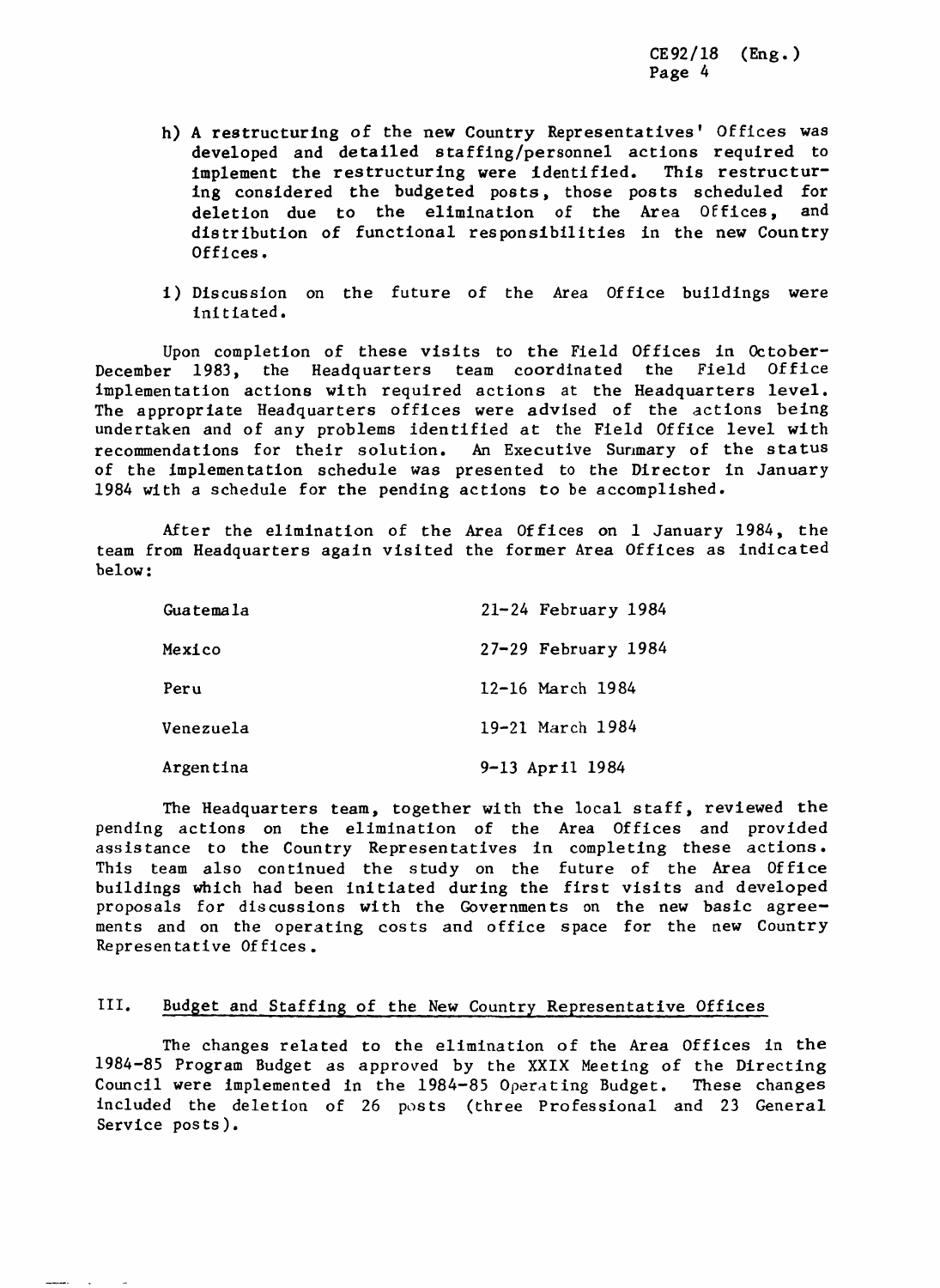- h) A restructuring **o**f the new Country Representatives' Offices was developed and detailed staffing/personnel actions required to<br>implement the restructuring were identified. This restructurimplement the restructuring were identified. ing considered the budgeted posts, those posts scheduled for<br>deletion due to the elimination of the Area Offices, and deletion due to the elimination of the Area Offices, distribution of functional responsibilities in the new Country Offices.
- i) Discussion on the future of the Area Office buildings were initiated.

Upon completion of these visits to the Field Offices in October-December 1983, the Headquarters team coordinated the Field Office implementation actions with required actions at the Headquarters level. The appropriate Headquarters offices were advised of the actions being undertaken and of any problems identified at the Field Office level with<br>recommendations for their solution. An Executive Summary of the status recommendations for their solution. of the implementation schedule was presented to the Director in January 1984 with a schedule for the pending actions to be accomplished.

After the elimination of the Area Offices on 1 January 1984, the team from Headquarters again visited the former Area Offices as indicated below:

| Guatemala | $21 - 24$ February 1984 |
|-----------|-------------------------|
| Mexico    | $27-29$ February 1984   |
| Peru      | 12-16 March 1984        |
| Venezuela | 19-21 March 1984        |
| Argentina | 9-13 April 1984         |

The Headquarters team, together with the local staff, reviewed the pending actions on the elimination of the Area Offices and provided assistance to the Country Representatives in completing these actions. This team also continued the study on the future of the Area Office buildings which had been initiated during the first visits and developed proposals for discussions with the Governments on the new basic agreements and on the operating costs and office space for the new Country Representative Offices.

# III. Budget and Staffing of the New Country Representative Offices

The changes related to the elimination of the Area Offices in the 1984-85 Program Budget as approved by the XXIX Meeting of the Directing Council were implemented in the 1984-85 O**p**erating Budget. These changes included the deletion of 26 posts (three Professional and 23 General Service posts).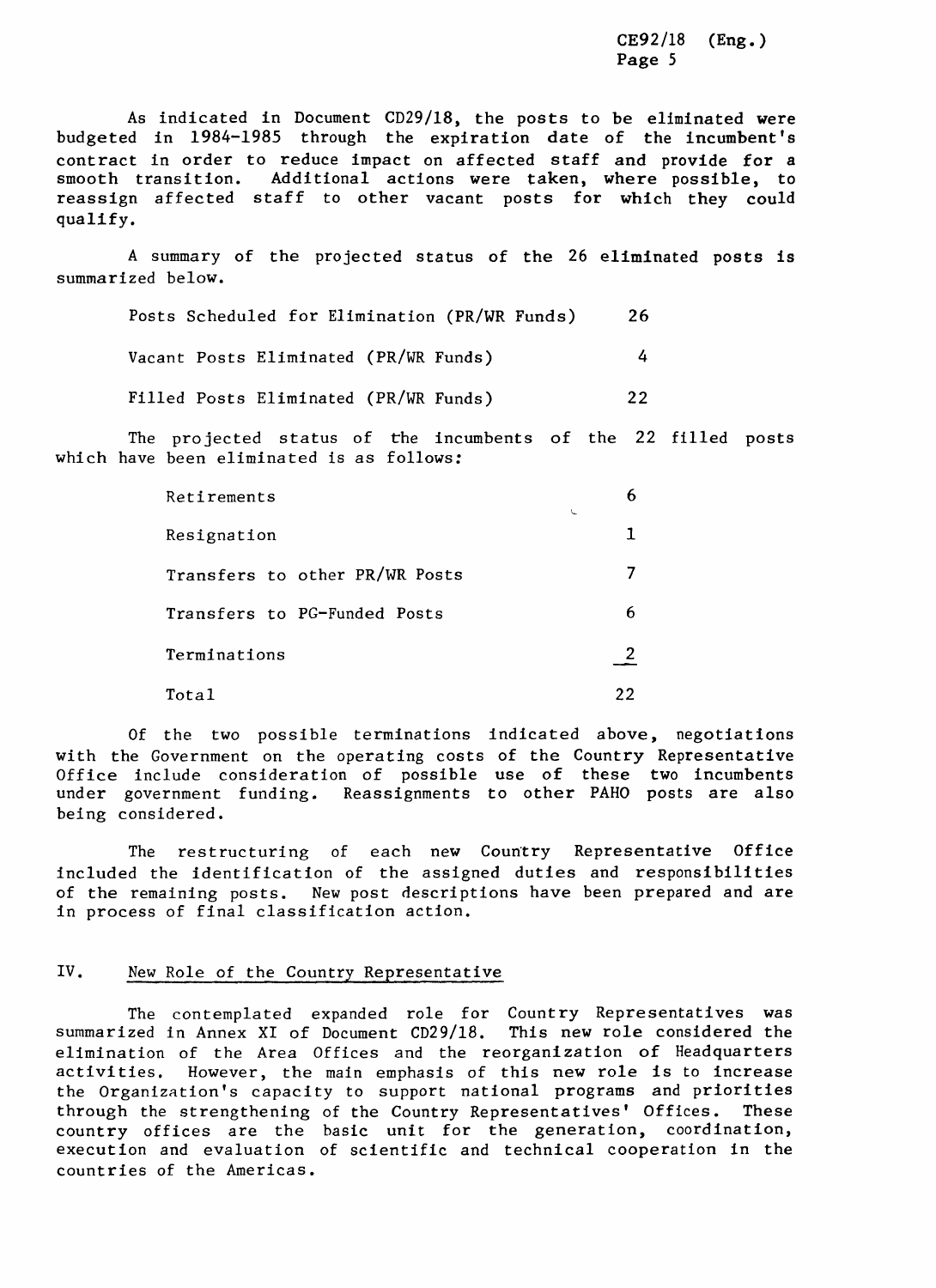As indicated in Document CD29**/**18, the posts to be eliminated were budgeted in 1984-1985 through the expiration date of the incumbent's contract in order to reduce impact on affected staff and provide for a smooth transition. Additional actions were taken, where possible, to reassign affected staff to other vacant posts for which they could qualify.

A summary of the projected status of the 26 eliminated posts is summarized below.

|  | Posts Scheduled for Elimination (PR/WR Funds) |  | 26 |
|--|-----------------------------------------------|--|----|
|  | Vacant Posts Eliminated (PR/WR Funds)         |  | 4  |
|  | Filled Posts Eliminated (PR/WR Funds)         |  | フフ |

The projected status of the incumbents of the 22 filled posts which have been eliminated is as follows:

| Retirements                    | 6<br>$\overline{\phantom{a}}$ |  |
|--------------------------------|-------------------------------|--|
| Resignation                    |                               |  |
| Transfers to other PR/WR Posts |                               |  |
| Transfers to PG-Funded Posts   | 6                             |  |
| Terminations                   |                               |  |
| Total                          |                               |  |

Of the two possible terminations indicated above, negotiations with the Government on the operating costs of the Country Representative Office include consideration of possible use of these two incumbents under government funding. Reassignments to other PAHO posts are also being considered.

The restructuring of each new Country Representative Office included the identification of the assigned duties and responsibilities of the remaining posts. New post descriptions have been prepared and are in process of final classification action.

### IV. New Role of the Country Representative

The contemplated expanded role for Country Representatives was summarized in Annex XI of Document CD29**/**18. This new role considered the elimination of the Area Offices and the reorganization of Headquarters activities. However, the main emphasis of this new role is to increase the Organization's capacity to support national programs and priorities through the strengthening of the Country Representatives' Offices. These country offices are the basic unit for the generation, coordination, execution and evaluation of scientific and technical cooperation in the countries of the Americas.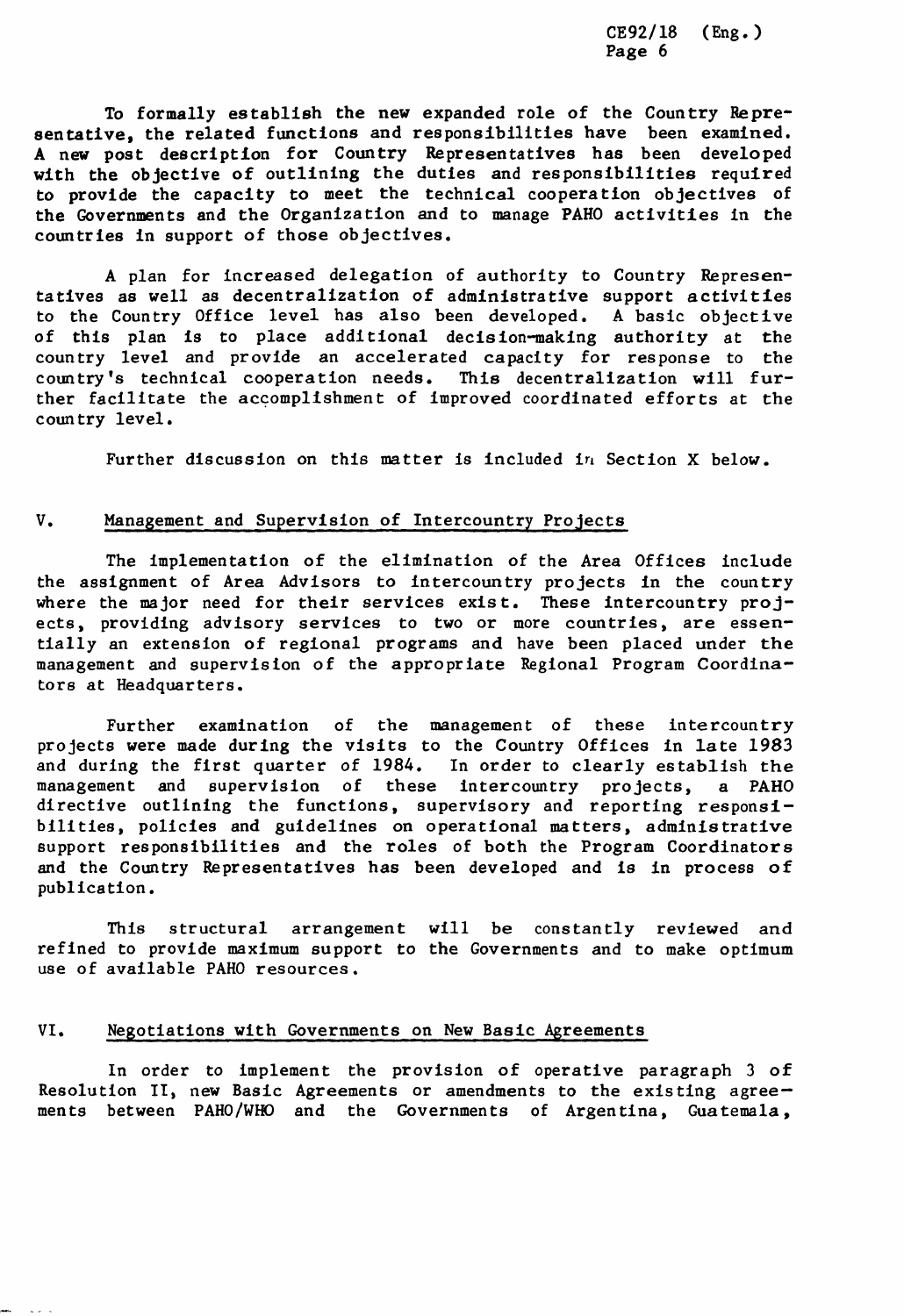To formally establish the new expanded role of the Country Representative, the related functions and responsibilities have been examined. A new post description for Coun**t**ry Representatives has been developed with the objective of outlining the duties and responsibilities required to provide the capacity to meet the technical cooperation objectives of **t**he Governments and the Organization and to manage PAHO activities in the countries in support of those objectives.

A plan for increased delegation of authority to Country Representatives as well as decentralizat**i**on of administrative support activities to the Country Office level has also been developed. A basic objective of this plan is to place additional decision-making authority at the country level and provide an accelerated capacity for response to the country's technical cooperation needs. This decentralization will further facilitate the accomplishment of improved coordinated efforts at the country level.

Further discussion on this matter is included in Section X below.

## V. Management and Supervision of Intercountry Projects

The implementation of the elimination of the Area Offices include the assignment of Area Advisors to intercountry projects in the country where the major need for their services exist. These intercountry projects, providing advisory services to two or more countries, are essentially an extension of regional programs and have been placed under the management and supervision of the appropriate Regional Program Coordinators at Headquarters.

Further examination of the management of these intercountry projects were made during the visits to the Country Offices in late 1983 and during the first quarter of 1984. In order to clearly establish the management and supervision of these intercountry projects, a PAHO these intercountry projects, a PAHO directive outlining the functions, supervisory and reporting responsibilities, policies and guidelines on operational matters, administrative support responsibilities and the roles of both the Program Coordinators and the Country Representatives has been developed and is in process of publication.

This structural arrangement will be constantly reviewed and refined to provide maximum support to the Governments and to make optimum use of available PAH0 resources.

## VI. Negotiations with Governments on New Basic Agreements

In order to implement the provision of operative paragraph 3 of Resolution II, new Basic Agreements or amendments to the existing agreements between PAHO**/**WHO and the Governments of Argentina, Guatemala,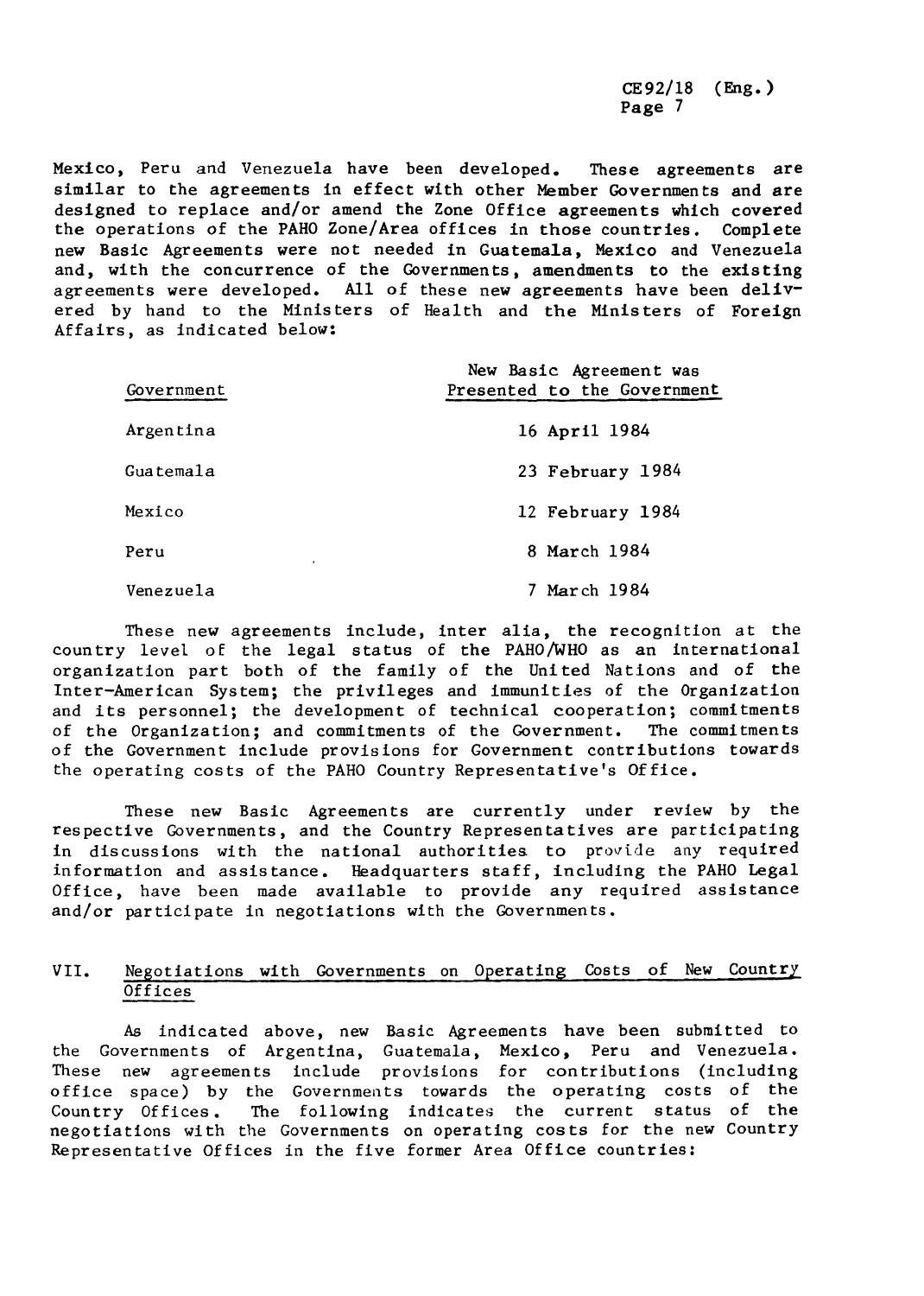Mexico, Peru and Venezuela have been developed. These agreements are similar to the agreements in effect with other Member Governments and are designed to replace and**/**or amend the Zone Office agreements which covered the operations of the PAHO Zone**/**Area offices in those countries. Complete new Basic Agreements were not needed in Guatemala, Mexico and Venezuela and, with the concurrence of the Governments, amendments to the existing agreements were developed. All of these new agreements have been delivered by hand to the Ministers of Health and the Ministers of Foreign Affairs, as indicated below:

| Government | New Basic Agreement was<br>Presented to the Government |
|------------|--------------------------------------------------------|
| Argentina  | 16 April 1984                                          |
| Guatemala  | 23 February 1984                                       |
| Mexico     | 12 February 1984                                       |
| Peru<br>٠  | 8 March 1984                                           |
| Venezuela  | 7 March 1984                                           |

These new agreements include, inter alia, the recognition at the country level of the legal status of the PAHO**/**WHO as an international organization part both of the family of the United Nations and of the Inter-American System; the privileges and immunities of the Organization and its personnel; the development of technical cooperation; commitments of the Organization; and commitments of the Government. The commitments of the Government include provisions for Government contributions towards the operating costs of the PAHO Country Representative's Office.

These new Basic Agreements are currently under review by the respective Governments, and the Country Representatives are participating in discussions with the national authorities to provide any required information and assistance. Headquarters staff, including the PAHO Legal Office, have been made available to provide any required assistance and**/**or participate in negotiations with the Governments.

# VII. Negotiations with Governments on Operating Costs of New Country **Offices**

As indicated above, new Basic Agreements have been submitted to the Governments of Argentina, Guatemala, Mexico, Peru and Venezuela. These new agreements include provisions for contributions (including office space) by the Governments towards the operating costs of the Country Offices. The following indicates the current status of the negotiations with the Governments on operating costs for the new Country Representative Offices in the five former Area Office countries: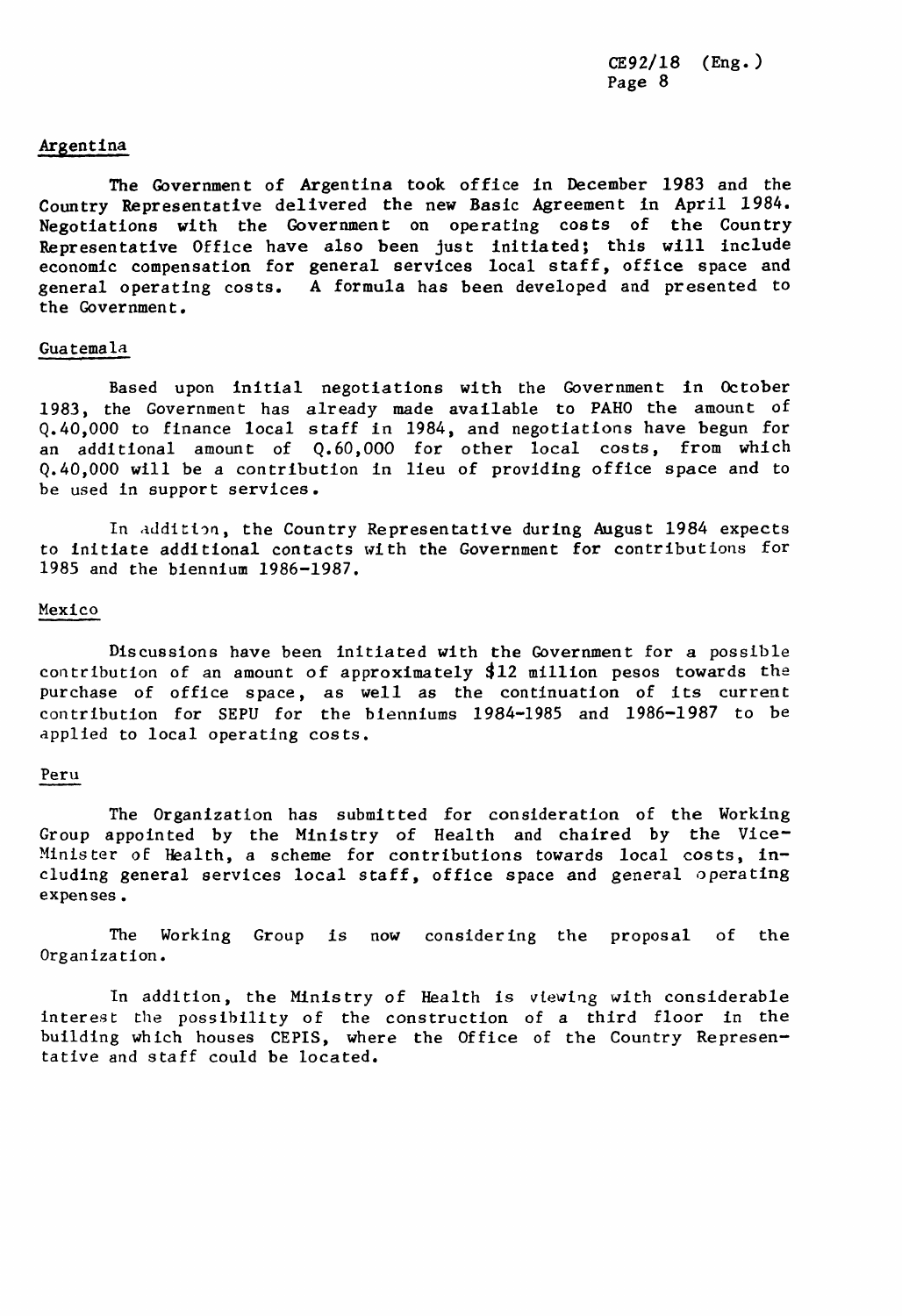#### Argentina

The Government of Argentina took office in December 1983 and the Country Representative delivered the new Basic Agreement in April 1**9**84. Negotiations with the Government on operating costs of the Country Representative Office have also been Just initiated; this will include economic compensation for general services local staff, office space and general operating costs. A formula has been developed and presented to the Government.

#### Guatemala

Based upon initial negotiations with the Government in October 1983, the Government has already made available to PAHO the amount of Q.40,000 to finance local staff in 1984, and negotiations have begun for an additional amount of Q.60,000 for other local costs, from which Q.40,000 will be a contribution in lieu of providing office space and to be used in support services.

In addition, the Country Representative during August 1984 expects to initiate additional c**o**ntacts with the Government for contributions for 1985 and the biennium 1986-1987.

### Mexico

Discussions have been initiated with the Government for a possible contribution of an amount of approximately \$12 million pesos towards the purchase of office space, as well as the continuation of its current contribution for SEPU for the bienntums 1**9**84-1985 and 1986-1987 to be applied to local operating costs.

#### Peru

The Organization has submitted for consideration of the Working Group appointed by the Ministry of Health and chaired by the Vice-Minister of Health, a scheme for contributions towards local costs, including general services local staff, office space and general operating expenses.

The Working Group is now considering the proposal of the Organization.

In addition, the Ministry of Health is viewing with considerable interest the possibility of the construction of a third floor in the building which houses CEPIS, where the Office of the Country Representative and staff could be located.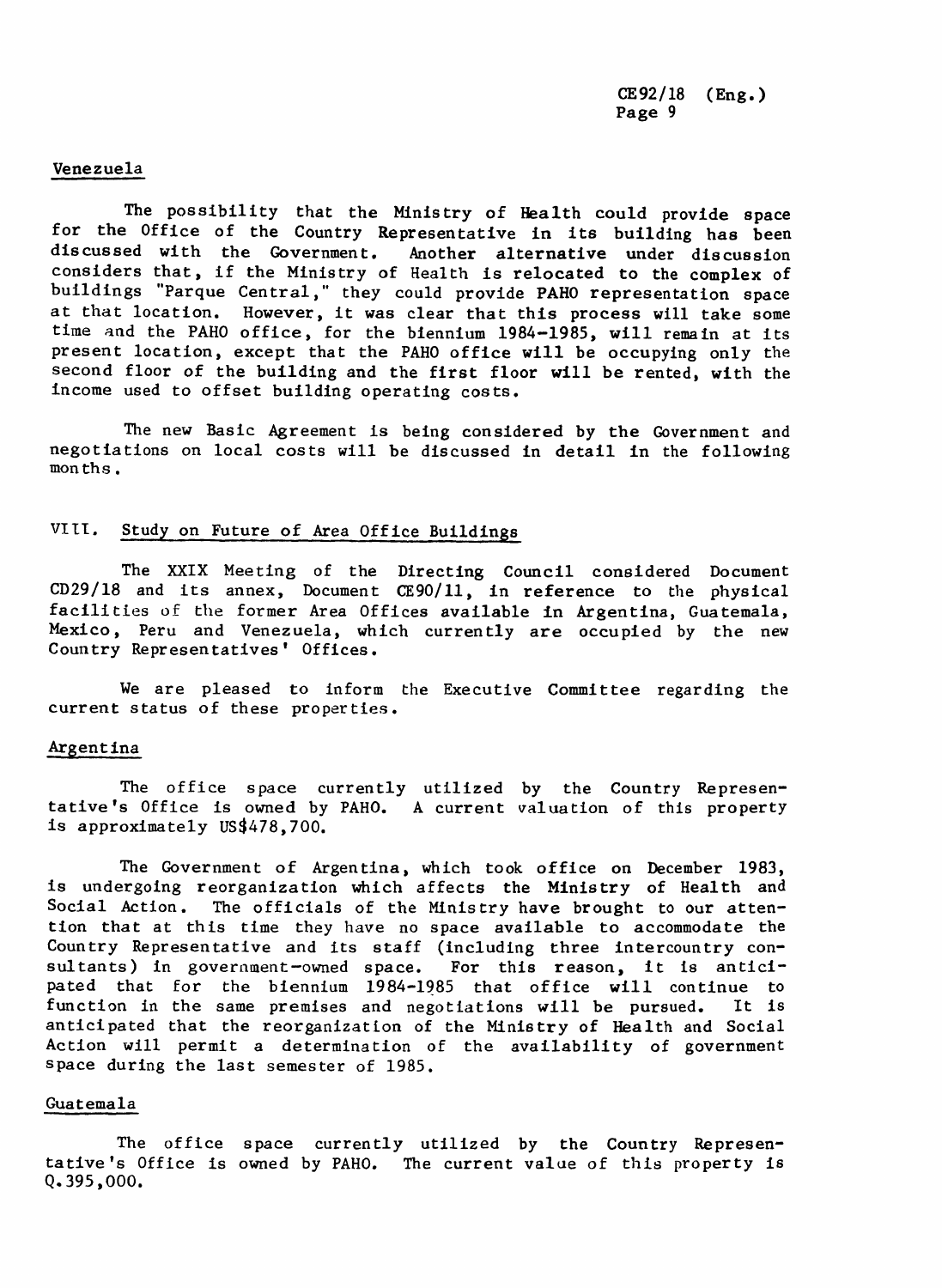### *Venezuela*

*The* po*ss*i*b*ility t*ha*t t*he* Mi*n*i*s*try *o*f *Hea*lt*h* c*ou*l*d* pr*ov*i*de s*p*a*c*e* f*o*r t*he* Office o*f* t*he* C*oun*try R*ep*r*esen*t*a*ti*ve* in it*s bu*il*d*i*n*g *ha*s *bee*n *d*i*s*c*ussed* wi t*h* t*he* G*ove*rnm*e*nt*.* A*no*t*he*r *a*lter*n*a*t*i*ve unde*r *d*isc*uss*i*on* c*ons*i*de*r*s* t*ha*t, if t*he* Mi*n*i*s*try *o*f He*a*lt*h* i*s* r*e*l*o*c*a*t*ed* t*o* t*he* c*o*m*p*l*e*x *o*f buildings "Parque Central," they could provide PAHO representation space at that location. However, it was clear that this process will take some time and the PAHO office, for the biennium 1984-1985, will remain at its present location, except that the PAHO office will be occupying only the second floor of the building and the first floor will be rented, with the income used to offset building operating costs.

The new Basic Agreement is being considered by the Government and negotiations on local costs will be discussed in detail in the following months.

# VIII. Stud**y** on Future of Area Office Buildings

The XXIX Meeting of the Directing Council considered Document CD29/18 and its annex, Document CE90/11, in reference to the physical facilities of the former Area Offices available in Argentina, Guatemala, Mexico, Peru and Venezuela, which currently are occupied by the new Country Representatives' Offices.

We are pleased to inform the Executive Committee regarding the current status of these properties.

#### Argentina

The office space currently utilized by the Country Representative's Office is owned by PAHO. A current valuation of this property is approximately US\$478,700.

The Government of Argentina, which took office on December 1983, is undergoing reorganization which affects the Ministry of Health and Social Action. The officials of the Ministry have brought to our attention that at this time they have no space available to accommodate the Country Representative and its staff (including three intercountry consultants) in government-owned space. For this reason, it is anticipated that for the biennium 1984-1985 that office will continue to function in the same premises and negotiations will be pursued. It is function in the same premises and negotiations will be pursued. anticipated that the reorganization of the Ministry of Health and Social Action will permit a determination of the availability of government space during the last semester of 1985.

#### Guatemala

The office space currently utilized by the Country Representative's Office is owned by PAHO. The current value of this property is Q. 395,000.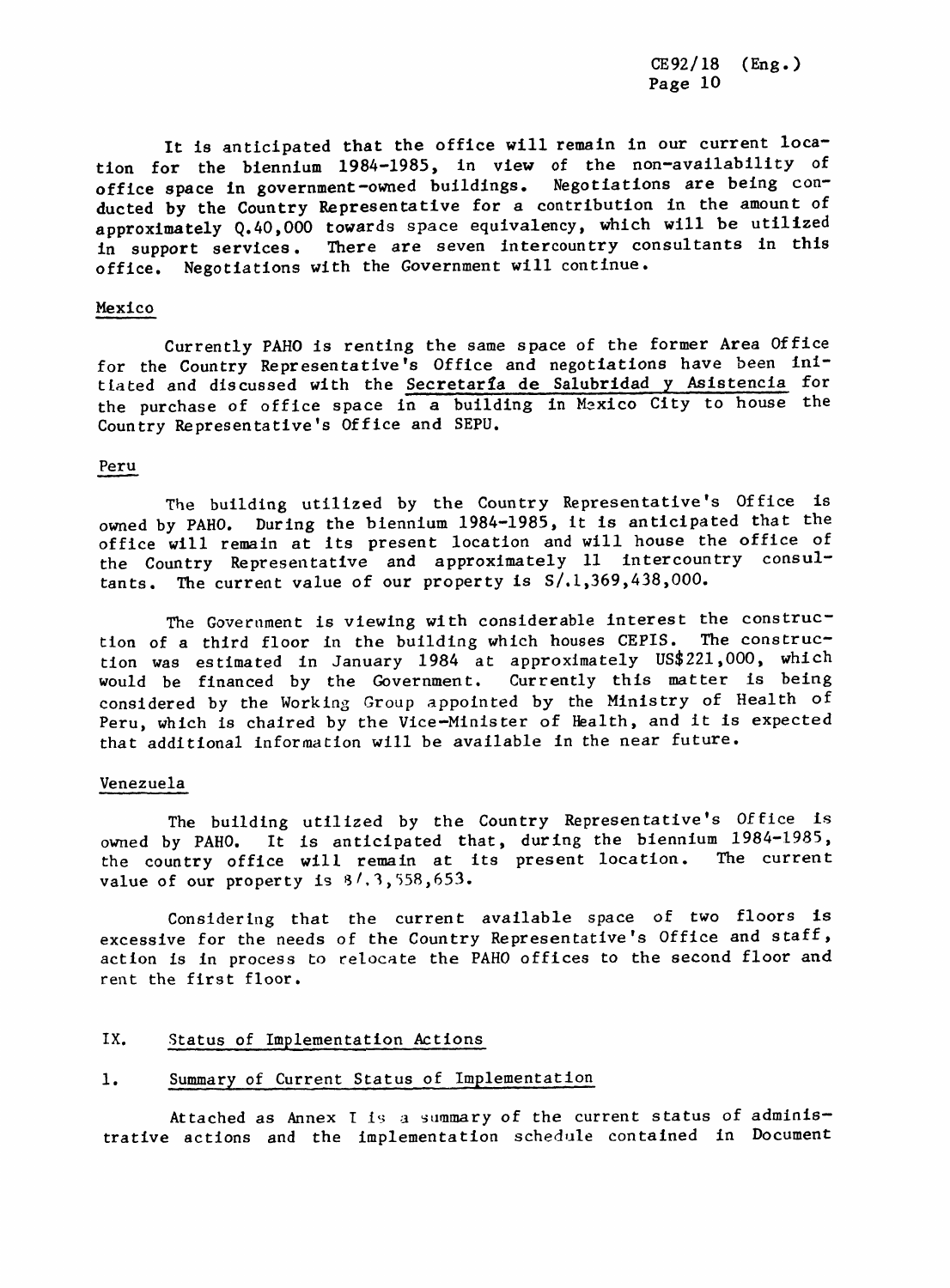It is anticipated that the office will remain in our current location for the biennium 1984-1985, in view of the non-availability of office space in government-owned buildings. Negotiations are being conducted by the Country Representative for a contribution in the amount of approximately Q.40,O00 towards space equivalency, which will be utilized in support services. There are seven intercountry consultants in this office. Negotiations with the Government will continue.

#### Mexico

Currently PAHO is renting the same space of the former Area Office for the Country Representative's Office and negotiations have been initiated and discussed with the Secretaria de Salubridad y Asistencia for the purchase of office space in a building in Mexico City to house the Country Representative's Office and SEPU.

#### Peru

The building utilized by the Country Representative's Office is owned by PAHO. During the biennium 1984-1985, it is anticipated that the office will remain at its present location and will house the office of the Country Representative and approximately 11 intercountry consultants. The current value of our property is S**/**.1,369,438,000.

The Government is viewing with considerable interest the construction of a third floor in the building which houses CEPIS. The construction was estimated in January 1984 at approximately US\$221,000, which<br>would be financed by the Government. Currently this matter is being would be financed by the Government. considered by the Working Group appointed by the Ministry of Health of Peru, which is chaired by the Vice-Minister of Health, and it is expected that additional information will be available in the near future.

#### Venezuela

The building utilized by the Country Representative's Office is owned by PAHO. It is anticipated that, during the biennium 1984-1985, the country office will remain at its present location. The current value of our property is  $3/3,558,653$ .

Considering that the current available space of two floors is excessive for the needs of the Country Representative's Office and staff, action is tn process to relocate the PAHO offices to the second floor and rent the first floor.

## IX. Status of Implementation Actions

# 1. Summary of Current Status of Implementation

Attached as Annex I is a summary of the current status of administrative actions and the implementation schedule contained in Document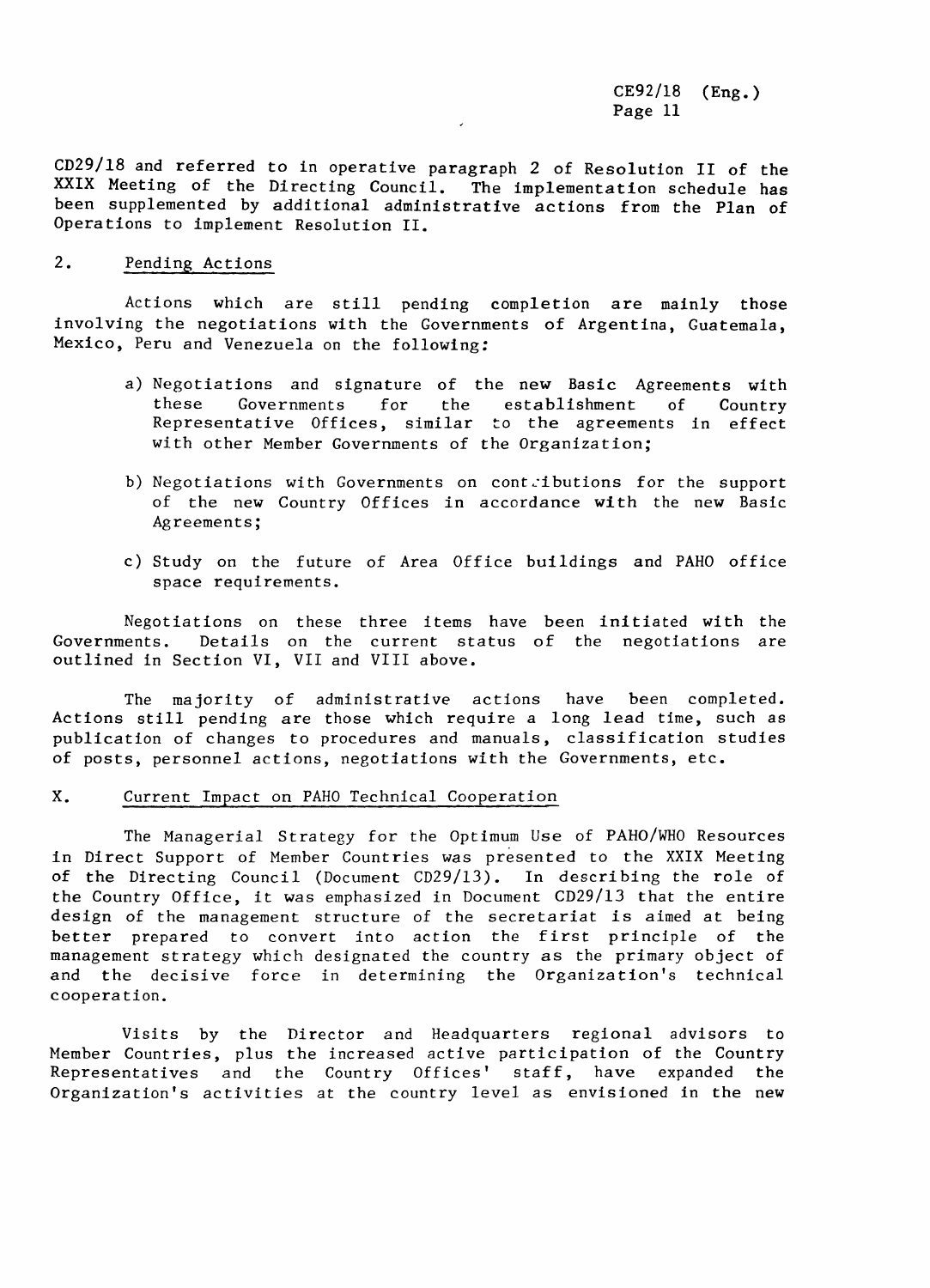CD29**/**18 and referred to in operative paragraph 2 of Resolution II of the XXIX Meeting of the Directing Council. The implementation schedule has been supplemented by additional administrative actions from the Plan of Operations to implement Resolution II.

### 2. Pending Actions

Actions which are still pending completion are mainly those involving the negotiations with the Governments of Argentina, Guatemala, Mexico, Peru and Venezuela on the following:

- a) Negotiations and signature of the new Basic Agreements with<br>these Governments for the establishment of Country these Governments for the establishment of Country<br>-Representative Offices, similar to the agreements in effect with other Member Governments of the Organization;
- b) Negotiations with Governments on contributions for the support of the new Country Offices in accordance with the new Basic Agreements;
- c) Study on the future of Area Office buildings and PAHO office space requirements.

Negotiations on these three items have been initiated with the Governments. Details on the current status of the negotiations are outlined in Section VI, VII and VIII above.

The majority of administrative actions have been completed. Actions still pending are those which require a long lead time, such as publication of changes to procedures and manuals, classification studies of posts, personnel actions, negotiations with the Governments, etc.

#### X. Current Impact on PAH0 Technical Cooperation

The Managerial Strategy for the Optimum Use of PAHO**/**WH0 Resources in Direct Support of Member Countries was presented to the XXIX Meeting of the Directing Council (Document CD29**/**13). In describing the role of the Country Office, it was emphasized in Document CD29**/**13 that the entire design of the management structure of the secretariat is aimed at being better prepared to convert into action the first principle of the management strategy which designated the country as the primary object of and the decisive force in determining the Organization's technical cooperation.

Visits by the Director and Headquarters regional advisors to Member Countries, plus the increased active participation of the Country Representatives and the Country Offices' staff, have expanded the Organization's activities at the country level as envisioned in the new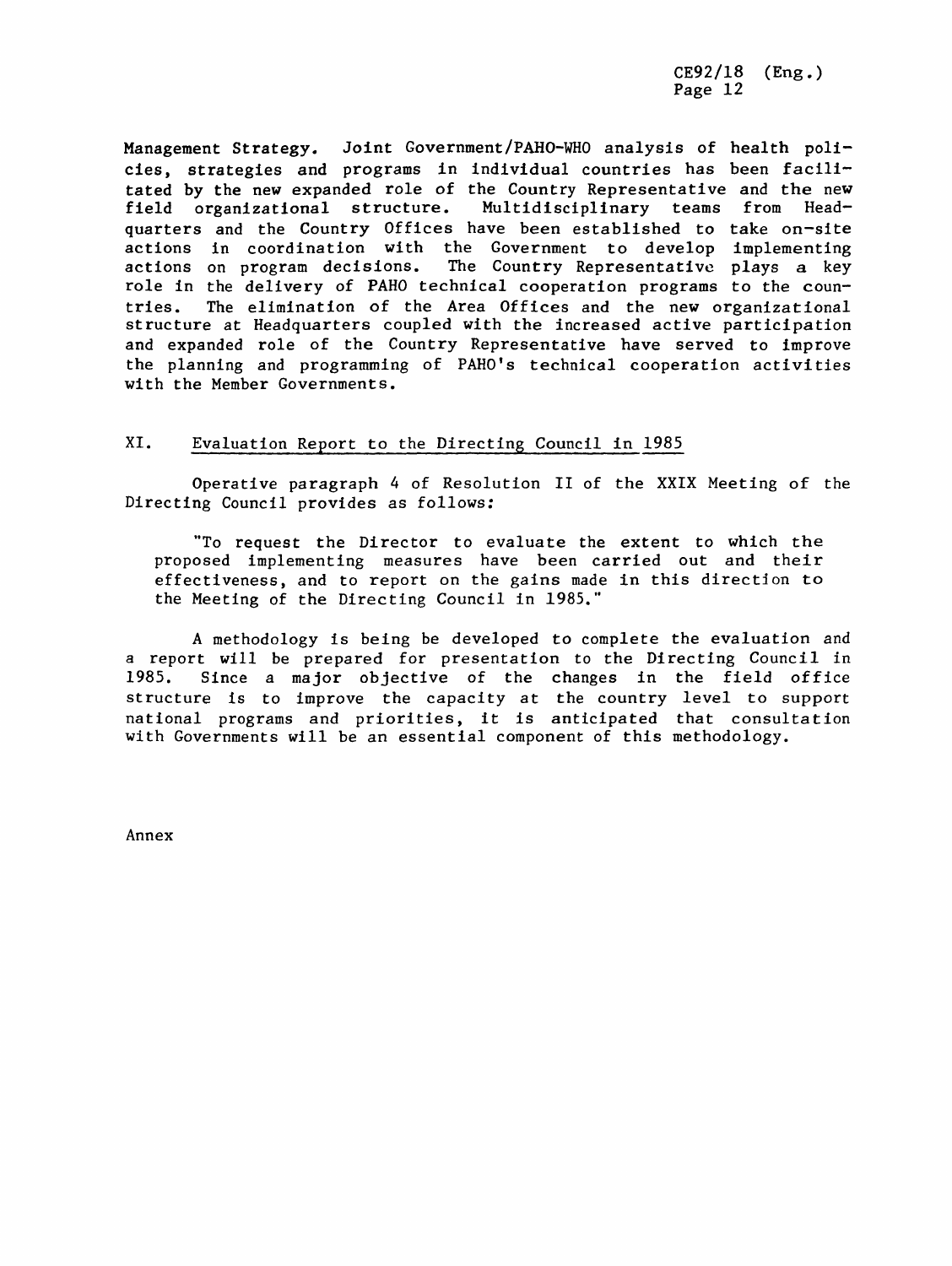Management Strategy. Joint Government**/**PAHO-WH0 analysis of health policies, strategies and programs in individual countries has been facilitated by the new expanded role of the Country Representative and the new field organizational structure. Multidisciplinary teams from Headquarters and the Country Offices have been established to take on-site actions in coordination with the Government to develop implementing actions on program decisions. The Country Representative plays a key role in the delivery of PAHO technical cooperation programs to the countries. The elimination of the Area Offices and the new organizational structure at Headquarters coupled with the increased active participation and expanded role of the Country Representative have served to improve the planning and programming of PAHO's technical cooperation activities with the Member Governments.

# XI. Evaluation Report to the Directing Council in 1985

Operative paragraph 4 of Resolution II of the XXIX Meeting of the Directing Council provides as follows:

"To request the Director to evaluate the extent to which the proposed implementing measures have been carried out and their effectiveness, and to report on the gains made in this direction to the Meeting of the Directing Council in 1985."

A methodology is being be developed to complete the evaluation and a report will be prepared for presentation to the Directing Council in<br>1985. Since a major objective of the changes in the field office Since a major objective of the changes in the field office structure is to improve the capacity at the country level to support national programs and priorities, it is anticipated that consultation with Governments will be an essential component of this methodology.

Annex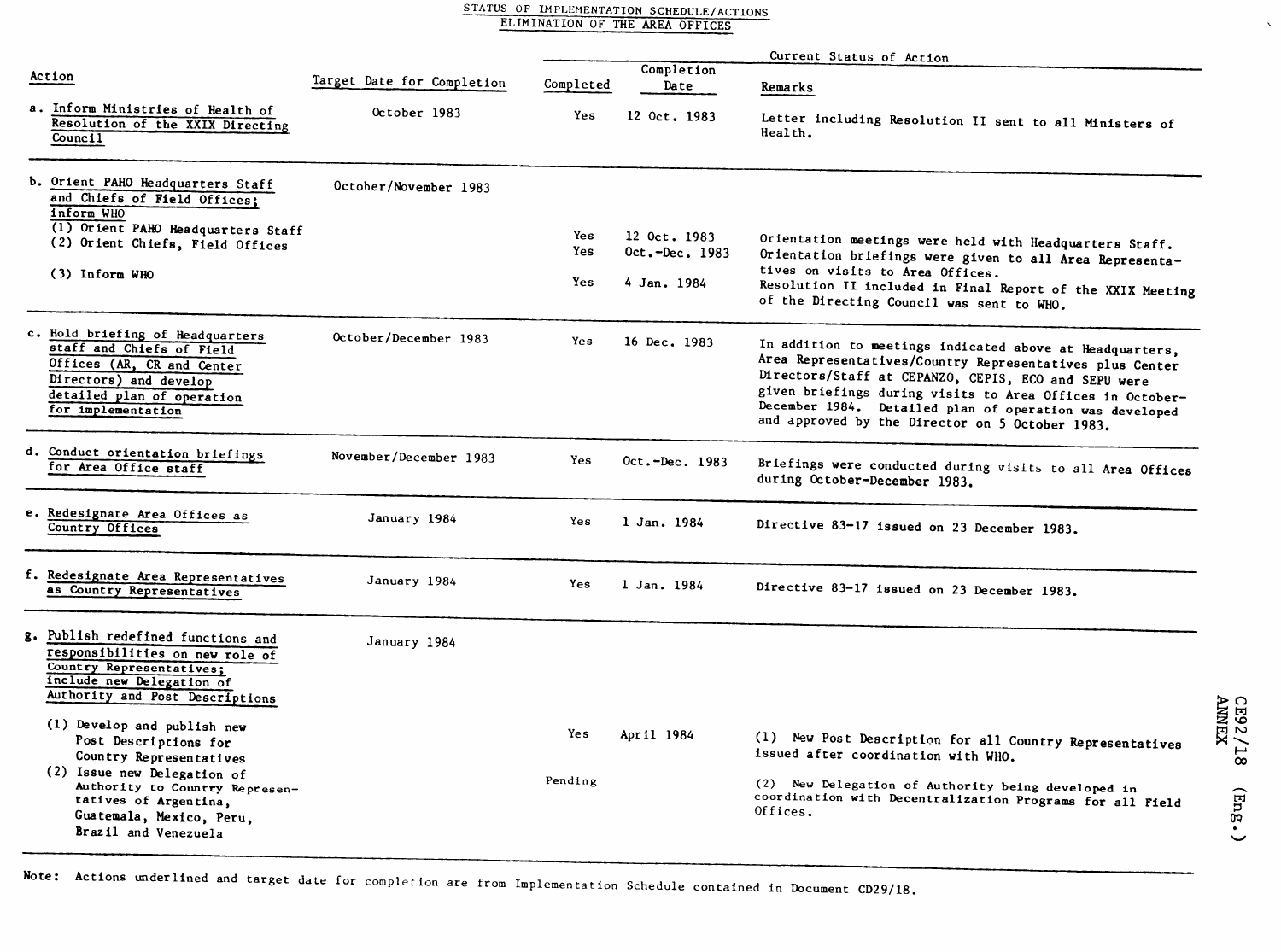|  | STATUS OF IMPLEMENTATION SCHEDULE/ACTIONS |
|--|-------------------------------------------|
|  | ELIMINATION OF THE AREA OFFICES           |

|                                                                                                                                                                           |                            |            |                    | Current Status of Action                                                                                                                                                                                                                                                                                                                                |                                           |
|---------------------------------------------------------------------------------------------------------------------------------------------------------------------------|----------------------------|------------|--------------------|---------------------------------------------------------------------------------------------------------------------------------------------------------------------------------------------------------------------------------------------------------------------------------------------------------------------------------------------------------|-------------------------------------------|
| Action                                                                                                                                                                    | Target Date for Completion | Completed  | Completion<br>Date | Remarks                                                                                                                                                                                                                                                                                                                                                 |                                           |
| a. Inform Ministries of Health of<br>Resolution of the XXIX Directing<br>Council                                                                                          | October 1983               | Yes        | 12 Oct. 1983       | Letter including Resolution II sent to all Ministers of<br>Health.                                                                                                                                                                                                                                                                                      |                                           |
| b. Orient PAHO Headquarters Staff<br>and Chiefs of Field Offices;<br>inform WHO                                                                                           | October/November 1983      |            |                    |                                                                                                                                                                                                                                                                                                                                                         |                                           |
| (1) Orient PAHO Headquarters Staff<br>(2) Orient Chiefs, Field Offices                                                                                                    |                            | Yes<br>Yes | 12 Oct. 1983       | Orientation meetings were held with Headquarters Staff.                                                                                                                                                                                                                                                                                                 |                                           |
| (3) Inform WHO                                                                                                                                                            |                            |            | Oct.-Dec. 1983     | Orientation briefings were given to all Area Representa-<br>tives on visits to Area Offices.                                                                                                                                                                                                                                                            |                                           |
|                                                                                                                                                                           |                            | Yes        | 4 Jan. 1984        | Resolution II included in Final Report of the XXIX Meeting<br>of the Directing Council was sent to WHO.                                                                                                                                                                                                                                                 |                                           |
| c. Hold briefing of Headquarters<br>staff and Chiefs of Field<br>Offices (AR, CR and Center<br>Directors) and develop<br>detailed plan of operation<br>for implementation | October/December 1983      | Yes        | 16 Dec. 1983       | In addition to meetings indicated above at Headquarters,<br>Area Representatives/Country Representatives plus Center<br>Directors/Staff at CEPANZO, CEPIS, ECO and SEPU were<br>given briefings during visits to Area Offices in October-<br>December 1984. Detailed plan of operation was developed<br>and approved by the Director on 5 October 1983. |                                           |
| d. Conduct orientation briefings<br>for Area Office staff                                                                                                                 | November/December 1983     | Yes        | Oct.-Dec. 1983     | Briefings were conducted during visits to all Area Offices<br>during October-December 1983.                                                                                                                                                                                                                                                             |                                           |
| e. Redesignate Area Offices as<br>Country Offices                                                                                                                         | January 1984               | Yes        | 1 Jan. 1984        | Directive 83-17 issued on 23 December 1983.                                                                                                                                                                                                                                                                                                             |                                           |
| f. Redesignate Area Representatives<br>as Country Representatives                                                                                                         | January 1984               | Yes        | 1 Jan. 1984        | Directive 83-17 issued on 23 December 1983.                                                                                                                                                                                                                                                                                                             |                                           |
| g. Publish redefined functions and<br>responsibilities on new role of<br>Country Representatives;<br>include new Delegation of<br>Authority and Post Descriptions         | January 1984               |            |                    |                                                                                                                                                                                                                                                                                                                                                         |                                           |
| (1) Develop and publish new<br>Post Descriptions for<br>Country Representatives                                                                                           |                            | Yes        | April 1984         | (1) New Post Description for all Country Representatives<br>issued after coordination with WHO.                                                                                                                                                                                                                                                         | <b>CE92/18</b><br>ANNEX                   |
| (2) Issue new Delegation of<br>Authority to Country Represen-<br>tatives of Argentina,<br>Guatemala, Mexico, Peru,<br>Brazil and Venezuela                                |                            | Pending    |                    | (2) New Delegation of Authority being developed in<br>coordination with Decentralization Programs for all Field<br>Offices.                                                                                                                                                                                                                             | $\left(\mathrm{EnR}\right)$<br>$\check{}$ |

Note: Actions underlined and target date for completion are from Implementation Schedule contained in Document CD29**/**18.

Brazil and Venezuela

 $\hat{\mathbf{v}}$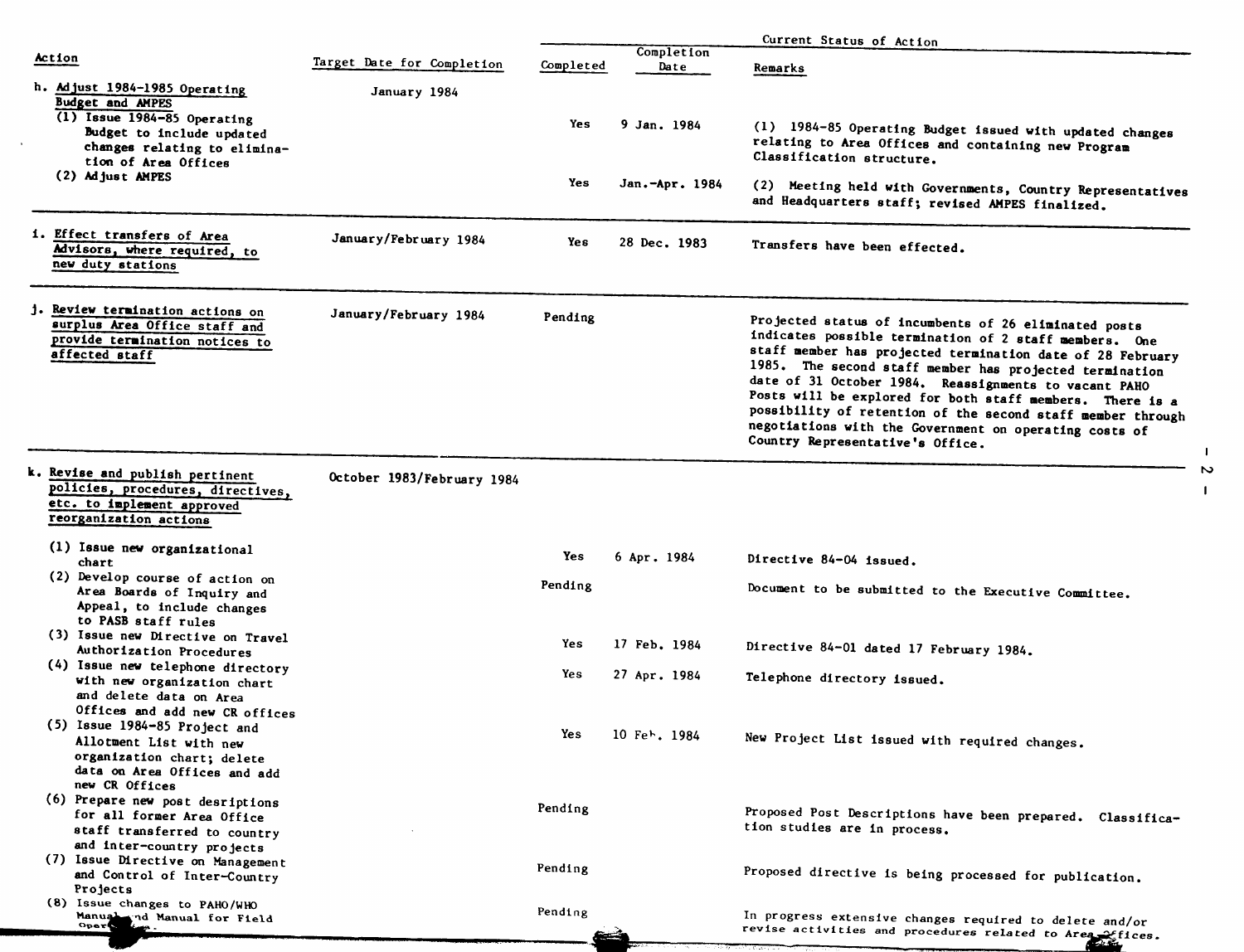|                                                               |                            |           |                                         | Current Status of Action                                                                                       |
|---------------------------------------------------------------|----------------------------|-----------|-----------------------------------------|----------------------------------------------------------------------------------------------------------------|
| Action                                                        | Target Date for Completion | Completed | Completion<br>Date                      |                                                                                                                |
|                                                               |                            |           |                                         | Remarks                                                                                                        |
| h. Adjust 1984-1985 Operating                                 | January 1984               |           |                                         |                                                                                                                |
| <b>Budget and AMPES</b><br>$(1)$ Issue 1984-85 Operating      |                            |           |                                         |                                                                                                                |
| Budget to include updated                                     |                            | Yes       | 9 Jan. 1984                             | (1) 1984-85 Operating Budget issued with updated changes                                                       |
| changes relating to elimina-                                  |                            |           |                                         | relating to Area Offices and containing new Program                                                            |
| tion of Area Offices                                          |                            |           |                                         | Classification structure.                                                                                      |
| (2) Adjust AMPES                                              |                            | Yes       | Jan.-Apr. 1984                          |                                                                                                                |
|                                                               |                            |           |                                         | (2) Meeting held with Governments, Country Representatives<br>and Headquarters staff; revised AMPES finalized. |
|                                                               |                            |           |                                         |                                                                                                                |
| i. Effect transfers of Area                                   | January/February 1984      |           |                                         |                                                                                                                |
| Advisors, where required, to                                  |                            | Yes       | 28 Dec. 1983                            | Transfers have been effected.                                                                                  |
| new duty stations                                             |                            |           |                                         |                                                                                                                |
|                                                               |                            |           |                                         |                                                                                                                |
| j. Review termination actions on                              |                            |           |                                         |                                                                                                                |
| surplus Area Office staff and                                 | January/February 1984      | Pending   |                                         | Projected status of incumbents of 26 eliminated posts                                                          |
| provide termination notices to                                |                            |           |                                         | indicates possible termination of 2 staff members. One                                                         |
| affected staff                                                |                            |           |                                         | staff member has projected termination date of 28 February                                                     |
|                                                               |                            |           |                                         | 1985. The second staff member has projected termination                                                        |
|                                                               |                            |           |                                         | date of 31 October 1984. Reassignments to vacant PAHO                                                          |
|                                                               |                            |           |                                         | Posts will be explored for both staff members. There is a                                                      |
|                                                               |                            |           |                                         | possibility of retention of the second staff member through                                                    |
|                                                               |                            |           |                                         | negotiations with the Government on operating costs of<br>Country Representative's Office.                     |
|                                                               |                            |           |                                         | $\mathbf{I}$                                                                                                   |
| k. Revise and publish pertinent                               | October 1983/February 1984 |           |                                         |                                                                                                                |
| policies, procedures, directives,                             |                            |           |                                         |                                                                                                                |
| etc. to implement approved                                    |                            |           |                                         |                                                                                                                |
| reorganization actions                                        |                            |           |                                         |                                                                                                                |
| (1) Issue new organizational                                  |                            |           |                                         |                                                                                                                |
| chart                                                         |                            | Yes       | 6 Apr. 1984                             | Directive 84-04 issued.                                                                                        |
| (2) Develop course of action on                               |                            |           |                                         |                                                                                                                |
| Area Boards of Inquiry and                                    |                            | Pending   |                                         | Document to be submitted to the Executive Committee.                                                           |
| Appeal, to include changes                                    |                            |           |                                         |                                                                                                                |
| to PASB staff rules                                           |                            |           |                                         |                                                                                                                |
| (3) Issue new Directive on Travel<br>Authorization Procedures |                            | Yes       | 17 Feb. 1984                            | Directive 84-01 dated 17 February 1984.                                                                        |
| (4) Issue new telephone directory                             |                            |           |                                         |                                                                                                                |
| with new organization chart                                   |                            | Yes       | 27 Apr. 1984                            | Telephone directory issued.                                                                                    |
| and delete data on Area                                       |                            |           |                                         |                                                                                                                |
| Offices and add new CR offices                                |                            |           |                                         |                                                                                                                |
| (5) Issue 1984-85 Project and                                 |                            | Yes       |                                         |                                                                                                                |
| Allotment List with new                                       |                            |           | 10 Fe <sup><math>\sim</math></sup> 1984 | New Project List issued with required changes.                                                                 |
| organization chart; delete                                    |                            |           |                                         |                                                                                                                |
| data on Area Offices and add<br>new CR Offices                |                            |           |                                         |                                                                                                                |
| (6) Prepare new post desriptions                              |                            |           |                                         |                                                                                                                |
| for all former Area Office                                    |                            | Pending   |                                         | Proposed Post Descriptions have been prepared. Classifica-                                                     |
| staff transferred to country                                  |                            |           |                                         | tion studies are in process.                                                                                   |
| and inter-country projects                                    |                            |           |                                         |                                                                                                                |
| (7) Issue Directive on Management                             |                            |           |                                         |                                                                                                                |
| and Control of Inter-Country                                  |                            | Pending   |                                         | Proposed directive is being processed for publication.                                                         |
| Projects                                                      |                            |           |                                         |                                                                                                                |
| (8) Issue changes to PAHO/WHO                                 |                            | Pending   |                                         |                                                                                                                |
| Manual nd Manual for Field<br>Opers                           |                            |           |                                         | In progress extensive changes required to delete and/or                                                        |
|                                                               |                            |           |                                         | revise activities and procedures related to Area effices.                                                      |

 $\mathbf{I}$ 

 $\mathbf{I}$